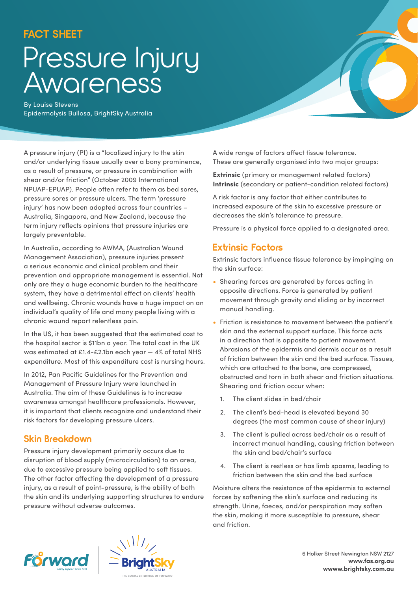## **FACT SHEET**

# Pressure Injury Awareness

By Louise Stevens Epidermolysis Bullosa, BrightSky Australia

A pressure injury (PI) is a "localized injury to the skin and/or underlying tissue usually over a bony prominence, as a result of pressure, or pressure in combination with shear and/or friction" (October 2009 International NPUAP-EPUAP). People often refer to them as bed sores, pressure sores or pressure ulcers. The term 'pressure injury' has now been adopted across four countries – Australia, Singapore, and New Zealand, because the term injury reflects opinions that pressure injuries are largely preventable.

In Australia, according to AWMA, (Australian Wound Management Association), pressure injuries present a serious economic and clinical problem and their prevention and appropriate management is essential. Not only are they a huge economic burden to the healthcare system, they have a detrimental effect on clients' health and wellbeing. Chronic wounds have a huge impact on an individual's quality of life and many people living with a chronic wound report relentless pain.

In the US, it has been suggested that the estimated cost to the hospital sector is \$11bn a year. The total cost in the UK was estimated at £1.4-£2.1bn each year — 4% of total NHS expenditure. Most of this expenditure cost is nursing hours.

In 2012, Pan Pacific Guidelines for the Prevention and Management of Pressure Injury were launched in Australia. The aim of these Guidelines is to increase awareness amongst healthcare professionals. However, it is important that clients recognize and understand their risk factors for developing pressure ulcers.

## **Skin Breakdown**

Pressure injury development primarily occurs due to disruption of blood supply (microcirculation) to an area, due to excessive pressure being applied to soft tissues. The other factor affecting the development of a pressure injury, as a result of point-pressure, is the ability of both the skin and its underlying supporting structures to endure pressure without adverse outcomes.

A wide range of factors affect tissue tolerance. These are generally organised into two major groups:

**Extrinsic** (primary or management related factors) Intrinsic (secondary or patient-condition related factors)

A risk factor is any factor that either contributes to increased exposure of the skin to excessive pressure or decreases the skin's tolerance to pressure.

Pressure is a physical force applied to a designated area.

### **Extrinsic Factors**

Extrinsic factors influence tissue tolerance by impinging on the skin surface:

- Shearing forces are generated by forces acting in opposite directions. Force is generated by patient movement through gravity and sliding or by incorrect manual handling.
- Friction is resistance to movement between the patient's skin and the external support surface. This force acts in a direction that is opposite to patient movement. Abrasions of the epidermis and dermis occur as a result of friction between the skin and the bed surface. Tissues, which are attached to the bone, are compressed, obstructed and torn in both shear and friction situations. Shearing and friction occur when:
	- 1. The client slides in bed/chair
	- 2. The client's bed-head is elevated beyond 30 degrees (the most common cause of shear injury)
	- 3. The client is pulled across bed/chair as a result of incorrect manual handling, causing friction between the skin and bed/chair's surface
	- 4. The client is restless or has limb spasms, leading to friction between the skin and the bed surface

Moisture alters the resistance of the epidermis to external forces by softening the skin's surface and reducing its strength. Urine, faeces, and/or perspiration may soften the skin, making it more susceptible to pressure, shear and friction.





6 Holker Street Newington NSW 2127 **www.fas.org.au wwww.brightsky.com.au**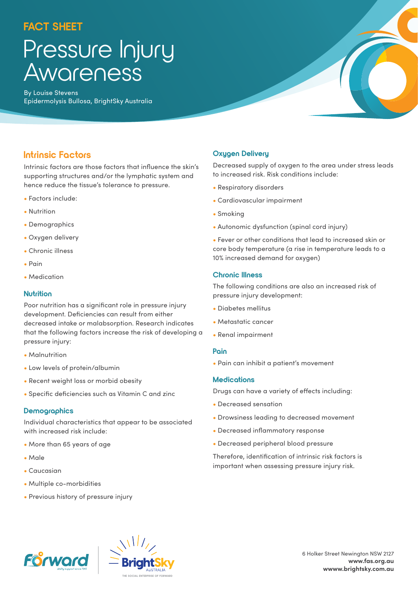## **FACT SHEET**

## Pressure Injury Awareness

By Louise Stevens Epidermolysis Bullosa, BrightSky Australia

## **Intrinsic Factors**

Intrinsic factors are those factors that influence the skin's supporting structures and/or the lymphatic system and hence reduce the tissue's tolerance to pressure.

- Factors include:
- Nutrition
- Demographics
- Oxygen delivery
- Chronic illness
- Pain
- Medication

#### **Nutrition**

Poor nutrition has a significant role in pressure injury development. Deficiencies can result from either decreased intake or malabsorption. Research indicates that the following factors increase the risk of developing a pressure injury:

- Malnutrition
- Low levels of protein/albumin
- Recent weight loss or morbid obesity
- Specific deficiencies such as Vitamin C and zinc

#### **Demographics**

Individual characteristics that appear to be associated with increased risk include:

- More than 65 years of age
- Male
- Caucasian
- Multiple co-morbidities
- Previous history of pressure injury

#### **Oxygen Delivery**

Decreased supply of oxygen to the area under stress leads to increased risk. Risk conditions include:

- Respiratory disorders
- Cardiovascular impairment
- Smoking
- Autonomic dysfunction (spinal cord injury)
- Fever or other conditions that lead to increased skin or core body temperature (a rise in temperature leads to a 10% increased demand for oxygen)

#### **Chronic Illness**

The following conditions are also an increased risk of pressure injury development:

- Diabetes mellitus
- Metastatic cancer
- Renal impairment

#### **Pain**

• Pain can inhibit a patient's movement

#### **Medications**

Drugs can have a variety of effects including:

- Decreased sensation
- Drowsiness leading to decreased movement
- Decreased inflammatory response
- Decreased peripheral blood pressure

Therefore, identification of intrinsic risk factors is important when assessing pressure injury risk.